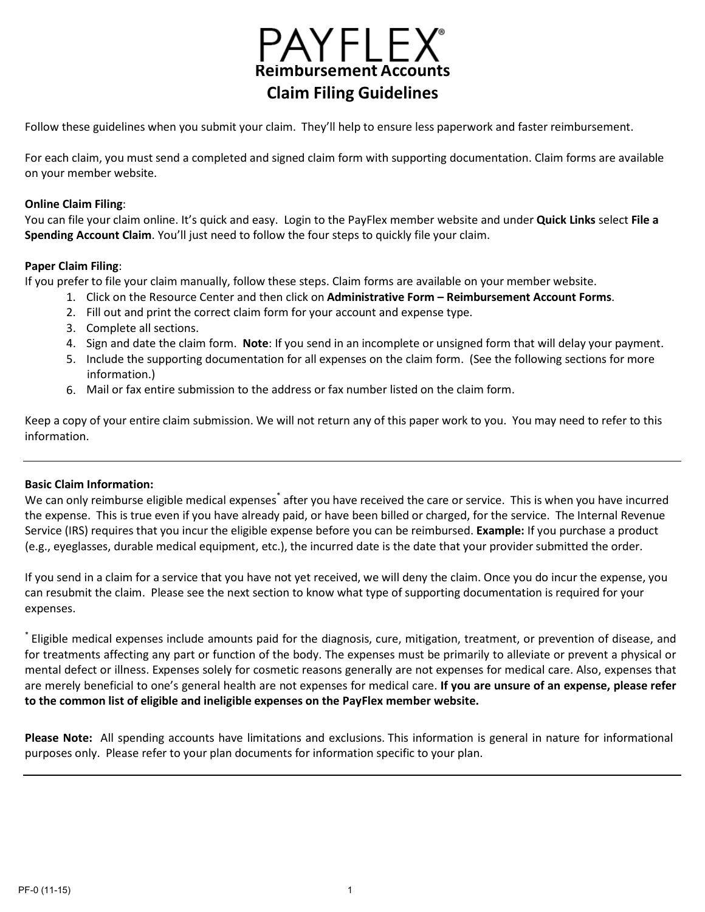

Follow these guidelines when you submit your claim. They'll help to ensure less paperwork and faster reimbursement.

For each claim, you must send a completed and signed claim form with supporting documentation. Claim forms are available on your member website.

### **Online Claim Filing**:

You can file your claim online. It's quick and easy. Login to the PayFlex member website and under **Quick Links** select **File a Spending Account Claim**. You'll just need to follow the four steps to quickly file your claim.

#### **Paper Claim Filing**:

If you prefer to file your claim manually, follow these steps. Claim forms are available on your member website.

- 1. Click on the Resource Center and then click on **Administrative Form – Reimbursement Account Forms**.
	- 2. Fill out and print the correct claim form for your account and expense type.
	- 3. Complete all sections.
	- 4. Sign and date the claim form. **Note**: If you send in an incomplete or unsigned form that will delay your payment.
	- 5. Include the supporting documentation for all expenses on the claim form. (See the following sections for more information.)
	- 6. Mail or fax entire submission to the address or fax number listed on the claim form.

Keep a copy of your entire claim submission. We will not return any of this paper work to you. You may need to refer to this information.

### **Basic Claim Information:**

We can only reimburse eligible medical expenses\* after you have received the care or service. This is when you have incurred the expense. This is true even if you have already paid, or have been billed or charged, for the service. The Internal Revenue Service (IRS) requires that you incur the eligible expense before you can be reimbursed. **Example:** If you purchase a product (e.g., eyeglasses, durable medical equipment, etc.), the incurred date is the date that your provider submitted the order.

If you send in a claim for a service that you have not yet received, we will deny the claim. Once you do incur the expense, you can resubmit the claim. Please see the next section to know what type of supporting documentation is required for your expenses.

\* Eligible medical expenses include amounts paid for the diagnosis, cure, mitigation, treatment, or prevention of disease, and for treatments affecting any part or function of the body. The expenses must be primarily to alleviate or prevent a physical or mental defect or illness. Expenses solely for cosmetic reasons generally are not expenses for medical care. Also, expenses that are merely beneficial to one's general health are not expenses for medical care. **If you are unsure of an expense, please refer to the common list of eligible and ineligible expenses on the PayFlex member website.**

**Please Note:** All spending accounts have limitations and exclusions. This information is general in nature for informational purposes only. Please refer to your plan documents for information specific to your plan.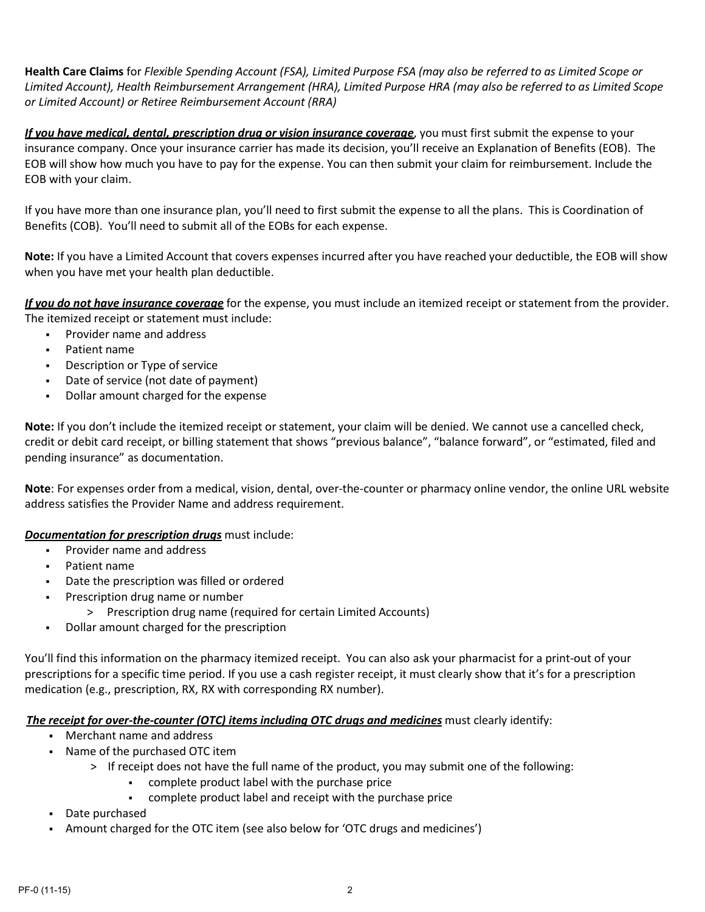**Health Care Claims** for *Flexible Spending Account (FSA), Limited Purpose FSA (may also be referred to as Limited Scope or Limited Account), Health Reimbursement Arrangement (HRA), Limited Purpose HRA (may also be referred to as Limited Scope or Limited Account) or Retiree Reimbursement Account (RRA)*

*If you have medical, dental, prescription drug or vision insurance coverage*, you must first submit the expense to your insurance company. Once your insurance carrier has made its decision, you'll receive an Explanation of Benefits (EOB). The EOB will show how much you have to pay for the expense. You can then submit your claim for reimbursement. Include the EOB with your claim.

If you have more than one insurance plan, you'll need to first submit the expense to all the plans. This is Coordination of Benefits (COB). You'll need to submit all of the EOBs for each expense.

**Note:** If you have a Limited Account that covers expenses incurred after you have reached your deductible, the EOB will show when you have met your health plan deductible.

*If you do not have insurance coverage* for the expense, you must include an itemized receipt or statement from the provider. The itemized receipt or statement must include:

- Provider name and address
- Patient name
- **Description or Type of service**
- Date of service (not date of payment)
- Dollar amount charged for the expense

**Note:** If you don't include the itemized receipt or statement, your claim will be denied. We cannot use a cancelled check, credit or debit card receipt, or billing statement that shows "previous balance", "balance forward", or "estimated, filed and pending insurance" as documentation.

**Note**: For expenses order from a medical, vision, dental, over-the-counter or pharmacy online vendor, the online URL website address satisfies the Provider Name and address requirement.

### *Documentation for prescription drugs* must include:

- Provider name and address
- Patient name
- Date the prescription was filled or ordered
- **•** Prescription drug name or number
	- > Prescription drug name (required for certain Limited Accounts)
- Dollar amount charged for the prescription

You'll find this information on the pharmacy itemized receipt. You can also ask your pharmacist for a print-out of your prescriptions for a specific time period. If you use a cash register receipt, it must clearly show that it's for a prescription medication (e.g., prescription, RX, RX with corresponding RX number).

### *The receipt for over-the-counter (OTC) items including OTC drugs and medicines* must clearly identify:

- Merchant name and address
- Name of the purchased OTC item
	- > If receipt does not have the full name of the product, you may submit one of the following:
		- complete product label with the purchase price
		- complete product label and receipt with the purchase price
- Date purchased
- Amount charged for the OTC item (see also below for 'OTC drugs and medicines')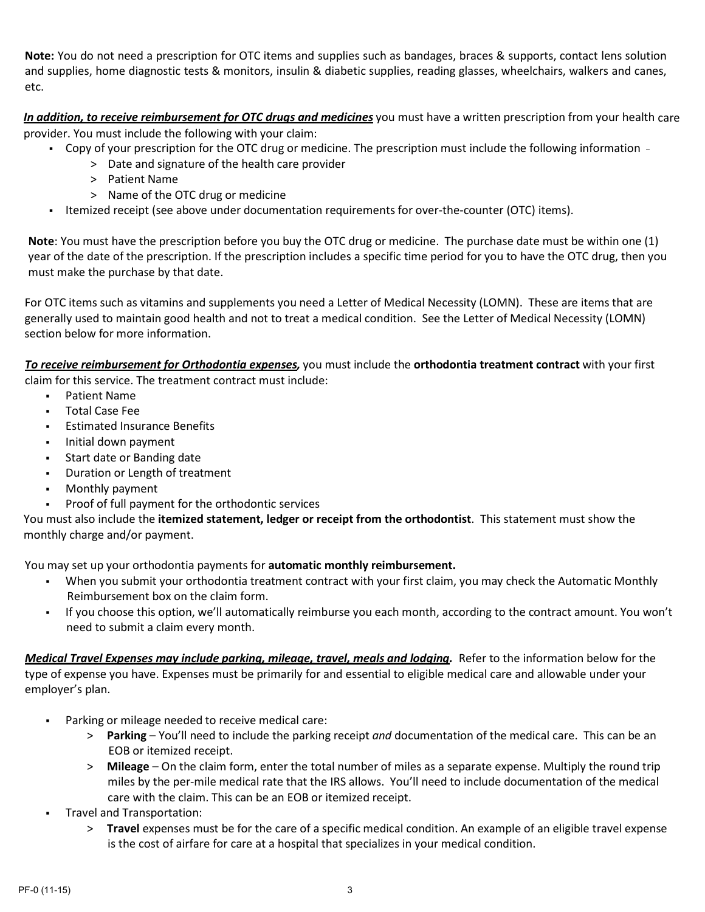**Note:** You do not need a prescription for OTC items and supplies such as bandages, braces & supports, contact lens solution and supplies, home diagnostic tests & monitors, insulin & diabetic supplies, reading glasses, wheelchairs, walkers and canes, etc.

*In addition, to receive reimbursement for OTC drugs and medicines* you must have a written prescription from your health care provider. You must include the following with your claim:

- Copy of your prescription for the OTC drug or medicine. The prescription must include the following information
	- > Date and signature of the health care provider
		- > Patient Name
		- > Name of the OTC drug or medicine
- Itemized receipt (see above under documentation requirements for over-the-counter (OTC) items).

**Note**: You must have the prescription before you buy the OTC drug or medicine. The purchase date must be within one (1) year of the date of the prescription. If the prescription includes a specific time period for you to have the OTC drug, then you must make the purchase by that date.

For OTC items such as vitamins and supplements you need a Letter of Medical Necessity (LOMN). These are items that are generally used to maintain good health and not to treat a medical condition. See the Letter of Medical Necessity (LOMN) section below for more information.

*To receive reimbursement for Orthodontia expenses,* you must include the **orthodontia treatment contract** with your first claim for this service. The treatment contract must include:

- Patient Name
- Total Case Fee
- Estimated Insurance Benefits
- **Initial down payment**
- Start date or Banding date
- **-** Duration or Length of treatment
- Monthly payment
- Proof of full payment for the orthodontic services

You must also include the **itemized statement, ledger or receipt from the orthodontist**. This statement must show the monthly charge and/or payment.

You may set up your orthodontia payments for **automatic monthly reimbursement.**

- When you submit your orthodontia treatment contract with your first claim, you may check the Automatic Monthly Reimbursement box on the claim form.
- If you choose this option, we'll automatically reimburse you each month, according to the contract amount. You won't need to submit a claim every month.

*Medical Travel Expenses may include parking, mileage, travel, meals and lodging.* Refer to the information below for the type of expense you have. Expenses must be primarily for and essential to eligible medical care and allowable under your employer's plan.

- Parking or mileage needed to receive medical care:
	- > **Parking** You'll need to include the parking receipt *and* documentation of the medical care. This can be an EOB or itemized receipt.
	- > **Mileage**  On the claim form, enter the total number of miles as a separate expense. Multiply the round trip miles by the per-mile medical rate that the IRS allows. You'll need to include documentation of the medical care with the claim. This can be an EOB or itemized receipt.
- Travel and Transportation:
	- > **Travel** expenses must be for the care of a specific medical condition. An example of an eligible travel expense is the cost of airfare for care at a hospital that specializes in your medical condition.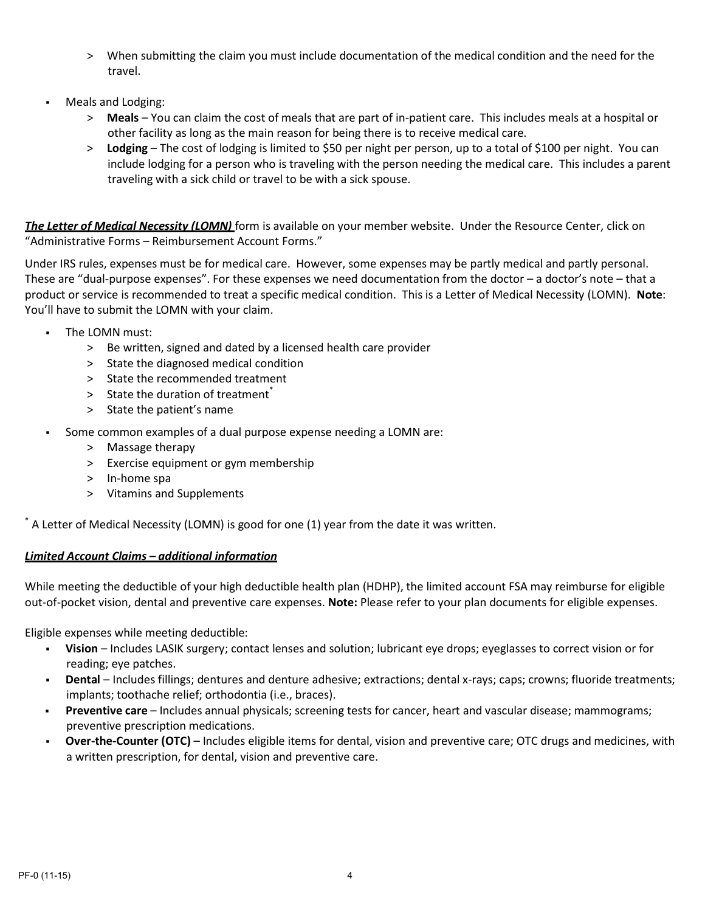- > When submitting the claim you must include documentation of the medical condition and the need for the travel.
- Meals and Lodging:
	- > **Meals** You can claim the cost of meals that are part of in-patient care. This includes meals at a hospital or other facility as long as the main reason for being there is to receive medical care.
	- > **Lodging** The cost of lodging is limited to \$50 per night per person, up to a total of \$100 per night. You can include lodging for a person who is traveling with the person needing the medical care. This includes a parent traveling with a sick child or travel to be with a sick spouse.

*The Letter of Medical Necessity (LOMN)* form is available on your member website. Under the Resource Center, click on "Administrative Forms – Reimbursement Account Forms."

Under IRS rules, expenses must be for medical care. However, some expenses may be partly medical and partly personal. These are "dual-purpose expenses". For these expenses we need documentation from the doctor – a doctor's note – that a product or service is recommended to treat a specific medical condition. This is a Letter of Medical Necessity (LOMN). **Note**: You'll have to submit the LOMN with your claim.

- The LOMN must:
	- > Be written, signed and dated by a licensed health care provider
	- > State the diagnosed medical condition
	- > State the recommended treatment
	- $>$  State the duration of treatment<sup>\*</sup>
	- > State the patient's name
- Some common examples of a dual purpose expense needing a LOMN are:
	- > Massage therapy
	- > Exercise equipment or gym membership
	- > In-home spa
	- > Vitamins and Supplements

\* A Letter of Medical Necessity (LOMN) is good for one (1) year from the date it was written.

### *Limited Account Claims – additional information*

While meeting the deductible of your high deductible health plan (HDHP), the limited account FSA may reimburse for eligible out-of-pocket vision, dental and preventive care expenses. **Note:** Please refer to your plan documents for eligible expenses.

Eligible expenses while meeting deductible:

- **Vision**  Includes LASIK surgery; contact lenses and solution; lubricant eye drops; eyeglasses to correct vision or for reading; eye patches.
- **Dental** Includes fillings; dentures and denture adhesive; extractions; dental x-rays; caps; crowns; fluoride treatments; implants; toothache relief; orthodontia (i.e., braces).
- **Preventive care**  Includes annual physicals; screening tests for cancer, heart and vascular disease; mammograms; preventive prescription medications.
- **Over-the-Counter (OTC)** Includes eligible items for dental, vision and preventive care; OTC drugs and medicines, with a written prescription, for dental, vision and preventive care.